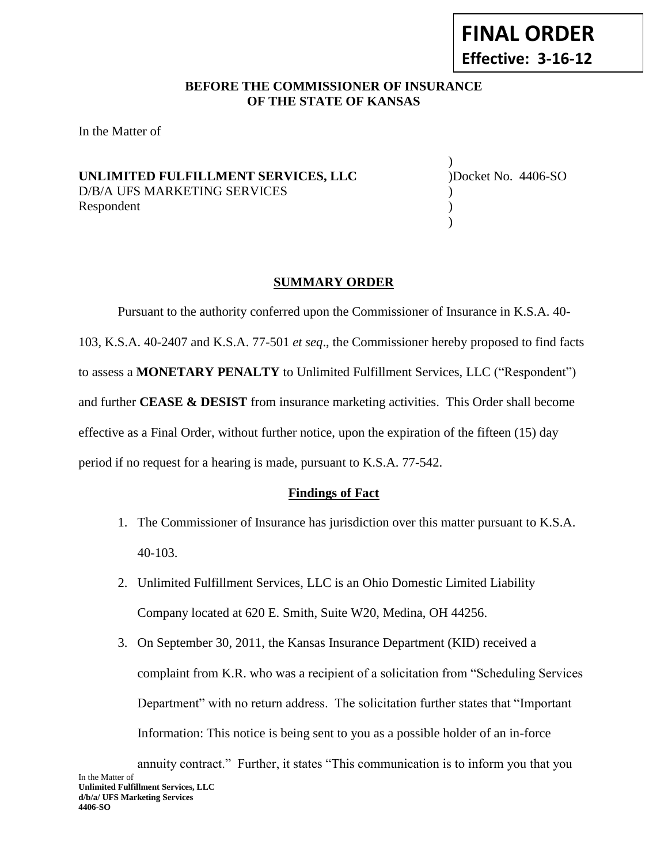# **BEFORE THE COMMISSIONER OF INSURANCE OF THE STATE OF KANSAS**

In the Matter of

**UNLIMITED FULFILLMENT SERVICES, LLC** )Docket No. 4406-SO D/B/A UFS MARKETING SERVICES (1999) Respondent  $\qquad$  (1)

) )

## **SUMMARY ORDER**

Pursuant to the authority conferred upon the Commissioner of Insurance in K.S.A. 40- 103, K.S.A. 40-2407 and K.S.A. 77-501 *et seq*., the Commissioner hereby proposed to find facts to assess a **MONETARY PENALTY** to Unlimited Fulfillment Services, LLC ("Respondent") and further **CEASE & DESIST** from insurance marketing activities. This Order shall become effective as a Final Order, without further notice, upon the expiration of the fifteen (15) day period if no request for a hearing is made, pursuant to K.S.A. 77-542.

## **Findings of Fact**

- 1. The Commissioner of Insurance has jurisdiction over this matter pursuant to K.S.A. 40-103.
- 2. Unlimited Fulfillment Services, LLC is an Ohio Domestic Limited Liability Company located at 620 E. Smith, Suite W20, Medina, OH 44256.
- 3. On September 30, 2011, the Kansas Insurance Department (KID) received a complaint from K.R. who was a recipient of a solicitation from "Scheduling Services Department" with no return address. The solicitation further states that "Important Information: This notice is being sent to you as a possible holder of an in-force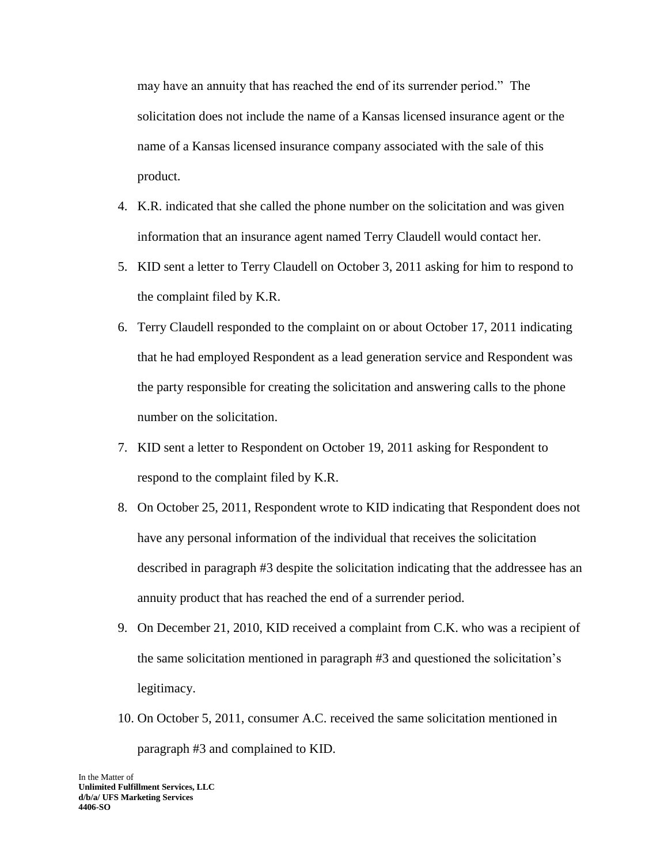may have an annuity that has reached the end of its surrender period." The solicitation does not include the name of a Kansas licensed insurance agent or the name of a Kansas licensed insurance company associated with the sale of this product.

- 4. K.R. indicated that she called the phone number on the solicitation and was given information that an insurance agent named Terry Claudell would contact her.
- 5. KID sent a letter to Terry Claudell on October 3, 2011 asking for him to respond to the complaint filed by K.R.
- 6. Terry Claudell responded to the complaint on or about October 17, 2011 indicating that he had employed Respondent as a lead generation service and Respondent was the party responsible for creating the solicitation and answering calls to the phone number on the solicitation.
- 7. KID sent a letter to Respondent on October 19, 2011 asking for Respondent to respond to the complaint filed by K.R.
- 8. On October 25, 2011, Respondent wrote to KID indicating that Respondent does not have any personal information of the individual that receives the solicitation described in paragraph #3 despite the solicitation indicating that the addressee has an annuity product that has reached the end of a surrender period.
- 9. On December 21, 2010, KID received a complaint from C.K. who was a recipient of the same solicitation mentioned in paragraph #3 and questioned the solicitation's legitimacy.
- 10. On October 5, 2011, consumer A.C. received the same solicitation mentioned in paragraph #3 and complained to KID.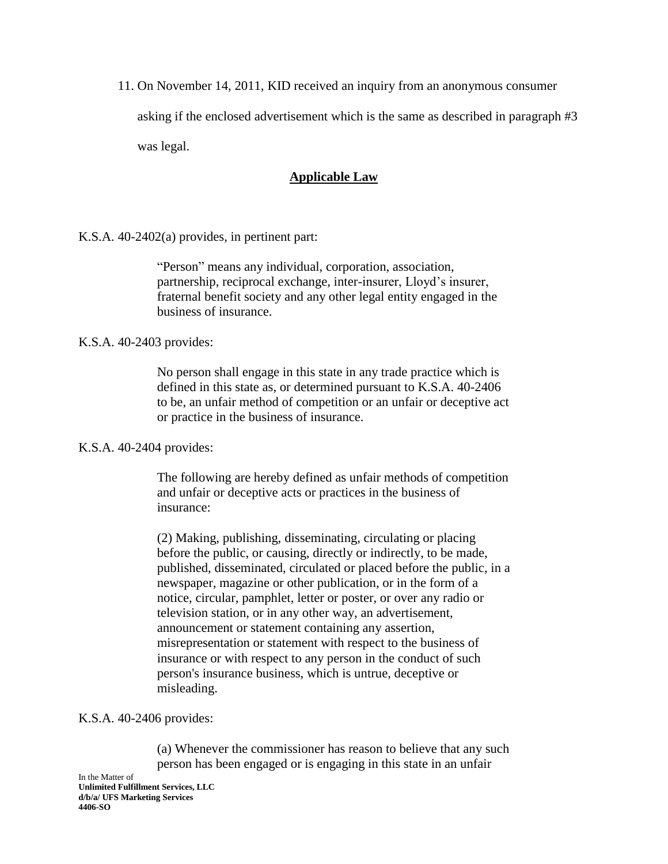11. On November 14, 2011, KID received an inquiry from an anonymous consumer

asking if the enclosed advertisement which is the same as described in paragraph #3

was legal.

## **Applicable Law**

K.S.A. 40-2402(a) provides, in pertinent part:

"Person" means any individual, corporation, association, partnership, reciprocal exchange, inter-insurer, Lloyd's insurer, fraternal benefit society and any other legal entity engaged in the business of insurance.

### K.S.A. 40-2403 provides:

No person shall engage in this state in any trade practice which is defined in this state as, or determined pursuant to K.S.A. 40-2406 to be, an unfair method of competition or an unfair or deceptive act or practice in the business of insurance.

### K.S.A. 40-2404 provides:

The following are hereby defined as unfair methods of competition and unfair or deceptive acts or practices in the business of insurance:

(2) Making, publishing, disseminating, circulating or placing before the public, or causing, directly or indirectly, to be made, published, disseminated, circulated or placed before the public, in a newspaper, magazine or other publication, or in the form of a notice, circular, pamphlet, letter or poster, or over any radio or television station, or in any other way, an advertisement, announcement or statement containing any assertion, misrepresentation or statement with respect to the business of insurance or with respect to any person in the conduct of such person's insurance business, which is untrue, deceptive or misleading.

#### K.S.A. 40-2406 provides:

(a) Whenever the commissioner has reason to believe that any such person has been engaged or is engaging in this state in an unfair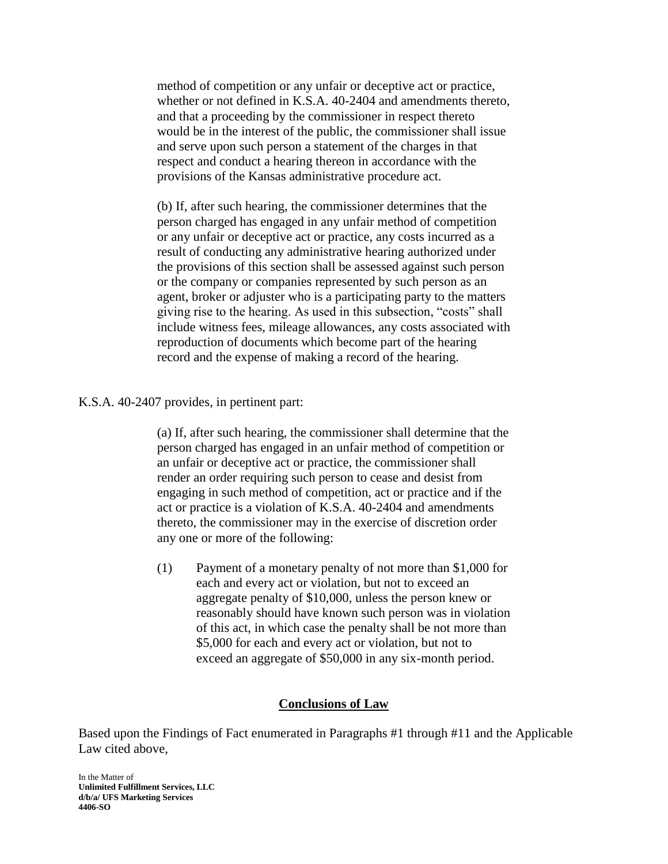method of competition or any unfair or deceptive act or practice, whether or not defined in K.S.A. 40-2404 and amendments thereto, and that a proceeding by the commissioner in respect thereto would be in the interest of the public, the commissioner shall issue and serve upon such person a statement of the charges in that respect and conduct a hearing thereon in accordance with the provisions of the Kansas administrative procedure act.

(b) If, after such hearing, the commissioner determines that the person charged has engaged in any unfair method of competition or any unfair or deceptive act or practice, any costs incurred as a result of conducting any administrative hearing authorized under the provisions of this section shall be assessed against such person or the company or companies represented by such person as an agent, broker or adjuster who is a participating party to the matters giving rise to the hearing. As used in this subsection, "costs" shall include witness fees, mileage allowances, any costs associated with reproduction of documents which become part of the hearing record and the expense of making a record of the hearing.

K.S.A. 40-2407 provides, in pertinent part:

(a) If, after such hearing, the commissioner shall determine that the person charged has engaged in an unfair method of competition or an unfair or deceptive act or practice, the commissioner shall render an order requiring such person to cease and desist from engaging in such method of competition, act or practice and if the act or practice is a violation of K.S.A. 40-2404 and amendments thereto, the commissioner may in the exercise of discretion order any one or more of the following:

(1) Payment of a monetary penalty of not more than \$1,000 for each and every act or violation, but not to exceed an aggregate penalty of \$10,000, unless the person knew or reasonably should have known such person was in violation of this act, in which case the penalty shall be not more than \$5,000 for each and every act or violation, but not to exceed an aggregate of \$50,000 in any six-month period.

#### **Conclusions of Law**

Based upon the Findings of Fact enumerated in Paragraphs #1 through #11 and the Applicable Law cited above,

In the Matter of **Unlimited Fulfillment Services, LLC d/b/a/ UFS Marketing Services 4406-SO**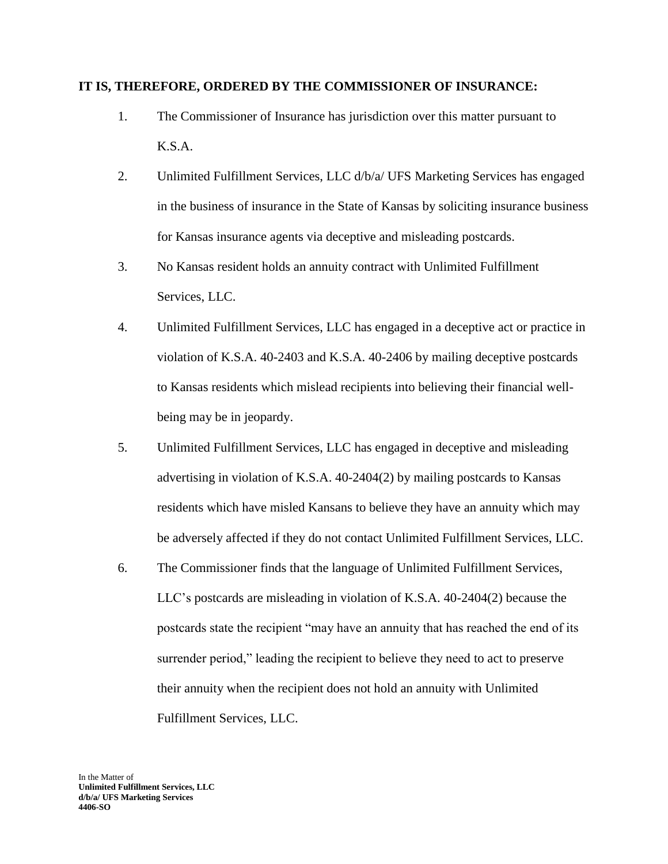#### **IT IS, THEREFORE, ORDERED BY THE COMMISSIONER OF INSURANCE:**

- 1. The Commissioner of Insurance has jurisdiction over this matter pursuant to K.S.A.
- 2. Unlimited Fulfillment Services, LLC d/b/a/ UFS Marketing Services has engaged in the business of insurance in the State of Kansas by soliciting insurance business for Kansas insurance agents via deceptive and misleading postcards.
- 3. No Kansas resident holds an annuity contract with Unlimited Fulfillment Services, LLC.
- 4. Unlimited Fulfillment Services, LLC has engaged in a deceptive act or practice in violation of K.S.A. 40-2403 and K.S.A. 40-2406 by mailing deceptive postcards to Kansas residents which mislead recipients into believing their financial wellbeing may be in jeopardy.
- 5. Unlimited Fulfillment Services, LLC has engaged in deceptive and misleading advertising in violation of K.S.A. 40-2404(2) by mailing postcards to Kansas residents which have misled Kansans to believe they have an annuity which may be adversely affected if they do not contact Unlimited Fulfillment Services, LLC.
- 6. The Commissioner finds that the language of Unlimited Fulfillment Services, LLC's postcards are misleading in violation of K.S.A. 40-2404(2) because the postcards state the recipient "may have an annuity that has reached the end of its surrender period," leading the recipient to believe they need to act to preserve their annuity when the recipient does not hold an annuity with Unlimited Fulfillment Services, LLC.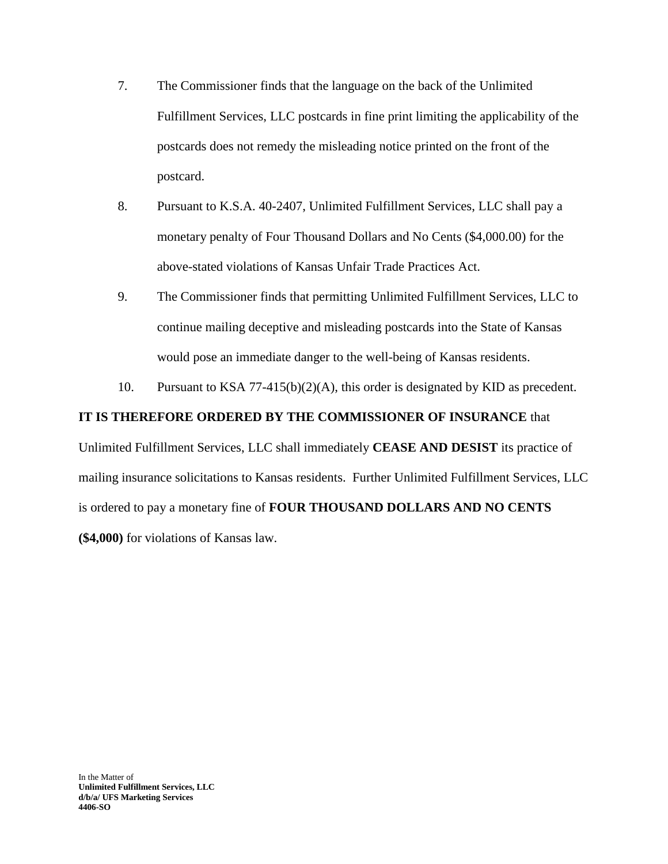- 7. The Commissioner finds that the language on the back of the Unlimited Fulfillment Services, LLC postcards in fine print limiting the applicability of the postcards does not remedy the misleading notice printed on the front of the postcard.
- 8. Pursuant to K.S.A. 40-2407, Unlimited Fulfillment Services, LLC shall pay a monetary penalty of Four Thousand Dollars and No Cents (\$4,000.00) for the above-stated violations of Kansas Unfair Trade Practices Act.
- 9. The Commissioner finds that permitting Unlimited Fulfillment Services, LLC to continue mailing deceptive and misleading postcards into the State of Kansas would pose an immediate danger to the well-being of Kansas residents.
- 10. Pursuant to KSA 77-415(b)(2)(A), this order is designated by KID as precedent.

# **IT IS THEREFORE ORDERED BY THE COMMISSIONER OF INSURANCE** that

Unlimited Fulfillment Services, LLC shall immediately **CEASE AND DESIST** its practice of mailing insurance solicitations to Kansas residents. Further Unlimited Fulfillment Services, LLC is ordered to pay a monetary fine of **FOUR THOUSAND DOLLARS AND NO CENTS (\$4,000)** for violations of Kansas law.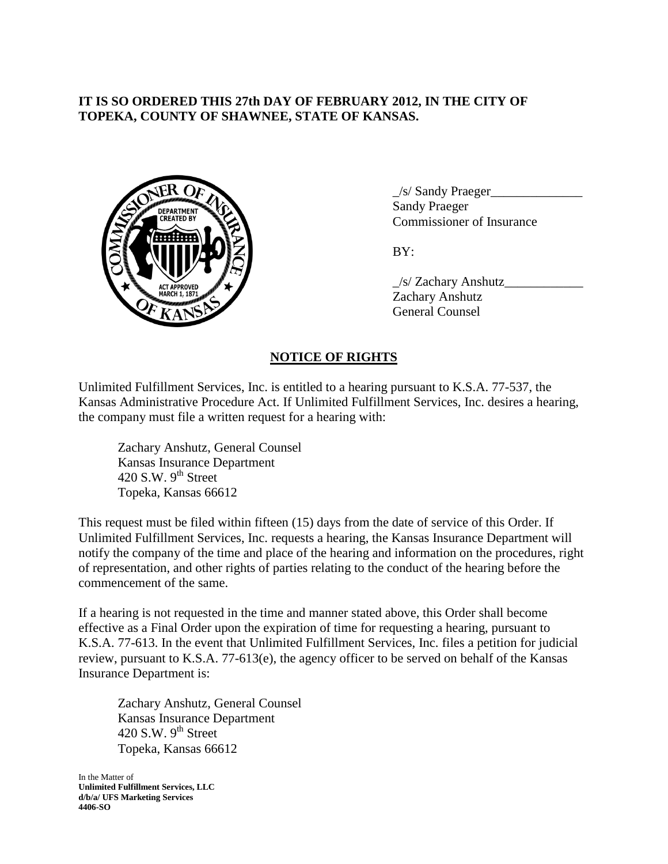# **IT IS SO ORDERED THIS 27th DAY OF FEBRUARY 2012, IN THE CITY OF TOPEKA, COUNTY OF SHAWNEE, STATE OF KANSAS.**



\_/s/ Sandy Praeger\_\_\_\_\_\_\_\_\_\_\_\_\_\_ Sandy Praeger Commissioner of Insurance

BY:

\_/s/ Zachary Anshutz\_\_\_\_\_\_\_\_\_\_\_\_ Zachary Anshutz General Counsel

## **NOTICE OF RIGHTS**

Unlimited Fulfillment Services, Inc. is entitled to a hearing pursuant to K.S.A. 77-537, the Kansas Administrative Procedure Act. If Unlimited Fulfillment Services, Inc. desires a hearing, the company must file a written request for a hearing with:

Zachary Anshutz, General Counsel Kansas Insurance Department 420 S.W.  $9^{th}$  Street Topeka, Kansas 66612

This request must be filed within fifteen (15) days from the date of service of this Order. If Unlimited Fulfillment Services, Inc. requests a hearing, the Kansas Insurance Department will notify the company of the time and place of the hearing and information on the procedures, right of representation, and other rights of parties relating to the conduct of the hearing before the commencement of the same.

If a hearing is not requested in the time and manner stated above, this Order shall become effective as a Final Order upon the expiration of time for requesting a hearing, pursuant to K.S.A. 77-613. In the event that Unlimited Fulfillment Services, Inc. files a petition for judicial review, pursuant to K.S.A.  $77-613(e)$ , the agency officer to be served on behalf of the Kansas Insurance Department is:

Zachary Anshutz, General Counsel Kansas Insurance Department 420 S.W.  $9<sup>th</sup>$  Street Topeka, Kansas 66612

In the Matter of **Unlimited Fulfillment Services, LLC d/b/a/ UFS Marketing Services 4406-SO**